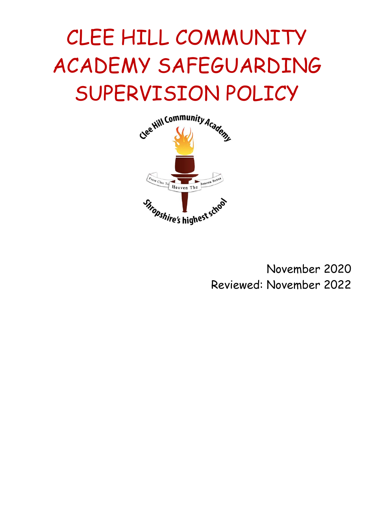# CLEE HILL COMMUNITY ACADEMY SAFEGUARDING SUPERVISION POLICY



November 2020 Reviewed: November 2022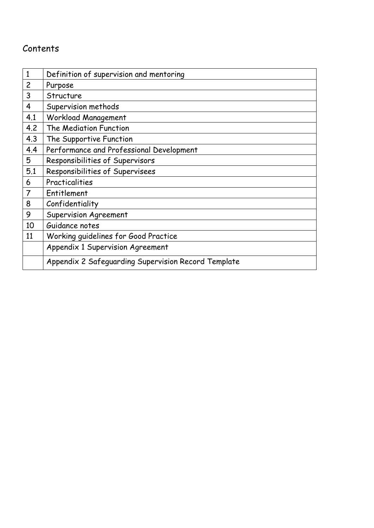# Contents

| $\mathbf{1}$   | Definition of supervision and mentoring             |
|----------------|-----------------------------------------------------|
| $\overline{c}$ | Purpose                                             |
| 3              | Structure                                           |
| 4              | Supervision methods                                 |
| 4.1            | Workload Management                                 |
| 4.2            | The Mediation Function                              |
| 4.3            | The Supportive Function                             |
| 4.4            | Performance and Professional Development            |
| 5              | Responsibilities of Supervisors                     |
| 5.1            | Responsibilities of Supervisees                     |
| 6              | Practicalities                                      |
| $\overline{7}$ | Entitlement                                         |
| 8              | Confidentiality                                     |
| 9              | <b>Supervision Agreement</b>                        |
| 10             | Guidance notes                                      |
| 11             | Working quidelines for Good Practice                |
|                | Appendix 1 Supervision Agreement                    |
|                | Appendix 2 Safeguarding Supervision Record Template |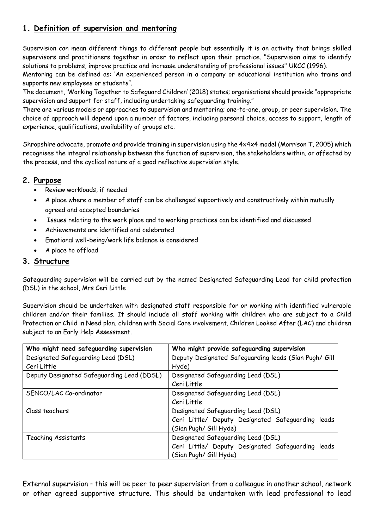# **1. Definition of supervision and mentoring**

Supervision can mean different things to different people but essentially it is an activity that brings skilled supervisors and practitioners together in order to reflect upon their practice. "Supervision aims to identify solutions to problems, improve practice and increase understanding of professional issues" UKCC (1996).

Mentoring can be defined as: 'An experienced person in a company or educational institution who trains and supports new employees or students".

The document, 'Working Together to Safeguard Children' (2018) states; organisations should provide "appropriate supervision and support for staff, including undertaking safeguarding training."

There are various models or approaches to supervision and mentoring; one-to-one, group, or peer supervision. The choice of approach will depend upon a number of factors, including personal choice, access to support, length of experience, qualifications, availability of groups etc.

Shropshire advocate, promote and provide training in supervision using the 4x4x4 model (Morrison T, 2005) which recognises the integral relationship between the function of supervision, the stakeholders within, or affected by the process, and the cyclical nature of a good reflective supervision style.

# **2. Purpose**

- Review workloads, if needed
- A place where a member of staff can be challenged supportively and constructively within mutually agreed and accepted boundaries
- Issues relating to the work place and to working practices can be identified and discussed
- Achievements are identified and celebrated
- Emotional well-being/work life balance is considered
- A place to offload

# **3. Structure**

Safeguarding supervision will be carried out by the named Designated Safeguarding Lead for child protection (DSL) in the school, Mrs Ceri Little

Supervision should be undertaken with designated staff responsible for or working with identified vulnerable children and/or their families. It should include all staff working with children who are subject to a Child Protection or Child in Need plan, children with Social Care involvement, Children Looked After (LAC) and children subject to an Early Help Assessment.

| Who might need safeguarding supervision    | Who might provide safeguarding supervision            |
|--------------------------------------------|-------------------------------------------------------|
| Designated Safeguarding Lead (DSL)         | Deputy Designated Safeguarding leads (Sian Pugh/ Gill |
| Ceri Little                                | Hyde)                                                 |
| Deputy Designated Safeguarding Lead (DDSL) | Designated Safeguarding Lead (DSL)                    |
|                                            | Ceri Little                                           |
| SENCO/LAC Co-ordinator                     | Designated Safeguarding Lead (DSL)                    |
|                                            | Ceri Little                                           |
| Class teachers                             | Designated Safeguarding Lead (DSL)                    |
|                                            | Ceri Little/ Deputy Designated Safeguarding leads     |
|                                            | (Sian Pugh/ Gill Hyde)                                |
| Teaching Assistants                        | Designated Safeguarding Lead (DSL)                    |
|                                            | Ceri Little/ Deputy Designated Safeguarding leads     |
|                                            | (Sian Pugh/ Gill Hyde)                                |

External supervision – this will be peer to peer supervision from a colleague in another school, network or other agreed supportive structure. This should be undertaken with lead professional to lead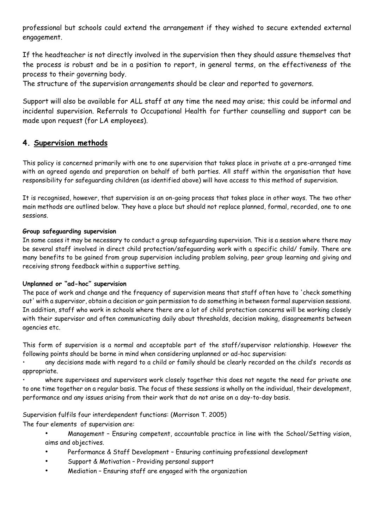professional but schools could extend the arrangement if they wished to secure extended external engagement.

If the headteacher is not directly involved in the supervision then they should assure themselves that the process is robust and be in a position to report, in general terms, on the effectiveness of the process to their governing body.

The structure of the supervision arrangements should be clear and reported to governors.

Support will also be available for ALL staff at any time the need may arise; this could be informal and incidental supervision. Referrals to Occupational Health for further counselling and support can be made upon request (for LA employees).

# **4. Supervision methods**

This policy is concerned primarily with one to one supervision that takes place in private at a pre-arranged time with an agreed agenda and preparation on behalf of both parties. All staff within the organisation that have responsibility for safeguarding children (as identified above) will have access to this method of supervision.

It is recognised, however, that supervision is an on-going process that takes place in other ways. The two other main methods are outlined below. They have a place but should not replace planned, formal, recorded, one to one sessions.

#### **Group safeguarding supervision**

In some cases it may be necessary to conduct a group safeguarding supervision. This is a session where there may be several staff involved in direct child protection/safeguarding work with a specific child/ family. There are many benefits to be gained from group supervision including problem solving, peer group learning and giving and receiving strong feedback within a supportive setting.

#### **Unplanned or "ad-hoc" supervision**

The pace of work and change and the frequency of supervision means that staff often have to 'check something out' with a supervisor, obtain a decision or gain permission to do something in between formal supervision sessions. In addition, staff who work in schools where there are a lot of child protection concerns will be working closely with their supervisor and often communicating daily about thresholds, decision making, disagreements between agencies etc.

This form of supervision is a normal and acceptable part of the staff/supervisor relationship. However the following points should be borne in mind when considering unplanned or ad-hoc supervision:

• any decisions made with regard to a child or family should be clearly recorded on the child's records as appropriate.

• where supervisees and supervisors work closely together this does not negate the need for private one to one time together on a regular basis. The focus of these sessions is wholly on the individual, their development, performance and any issues arising from their work that do not arise on a day-to-day basis.

Supervision fulfils four interdependent functions: (Morrison T. 2005)

The four elements of supervision are:

- Management Ensuring competent, accountable practice in line with the School/Setting vision, aims and objectives.
- Performance & Staff Development Ensuring continuing professional development
- Support & Motivation Providing personal support
- Mediation Ensuring staff are engaged with the organization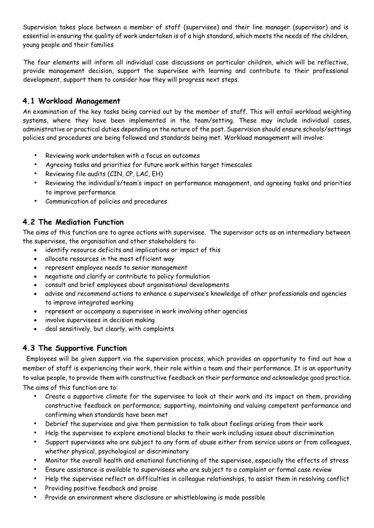Supervision takes place between a member of staff (supervisee) and their line manager (supervisor) and is essential in ensuring the quality of work undertaken is of a high standard, which meets the needs of the children, young people and their families

The four elements will inform all individual case discussions on particular children, which will be reflective, provide management decision, support the supervisee with learning and contribute to their professional development, support them to consider how they will progress next steps.

# **4.1 Workload Management**

An examination of the key tasks being carried out by the member of staff. This will entail workload weighting systems, where they have been implemented in the team/setting. These may include individual cases, administrative or practical duties depending on the nature of the post. Supervision should ensure schools/settings policies and procedures are being followed and standards being met. Workload management will involve:

- Reviewing work undertaken with a focus on outcomes
- Agreeing tasks and priorities for future work within target timescales
- Reviewing file audits (CIN, CP, LAC, EH)
- Reviewing the individual's/team's impact on performance management, and agreeing tasks and priorities to improve performance
- Communication of policies and procedures

# **4.2 The Mediation Function**

The aims of this function are to agree actions with supervisee. The supervisor acts as an intermediary between the supervisee, the organisation and other stakeholders to:

- identify resource deficits and implications or impact of this
- allocate resources in the most efficient way
- represent employee needs to senior management
- negotiate and clarify or contribute to policy formulation
- consult and brief employees about organisational developments
- advise and recommend actions to enhance a supervisee's knowledge of other professionals and agencies to improve integrated working
- represent or accompany a supervisee in work involving other agencies
- involve supervisees in decision making
- deal sensitively, but clearly, with complaints

# **4.3 The Supportive Function**

Employees will be given support via the supervision process, which provides an opportunity to find out how a member of staff is experiencing their work, their role within a team and their performance. It is an opportunity to value people, to provide them with constructive feedback on their performance and acknowledge good practice. The aims of this function are to:

- Create a supportive climate for the supervisee to look at their work and its impact on them, providing constructive feedback on performance; supporting, maintaining and valuing competent performance and confirming when standards have been met
- Debrief the supervisee and give them permission to talk about feelings arising from their work
- Help the supervisee to explore emotional blocks to their work including issues about discrimination
- Support supervisees who are subject to any form of abuse either from service users or from colleagues, whether physical, psychological or discriminatory
- Monitor the overall health and emotional functioning of the supervisee, especially the effects of stress
- Ensure assistance is available to supervisees who are subject to a complaint or formal case review
- Help the supervisee reflect on difficulties in colleague relationships, to assist them in resolving conflict
- Providing positive feedback and praise
- Provide an environment where disclosure or whistleblowing is made possible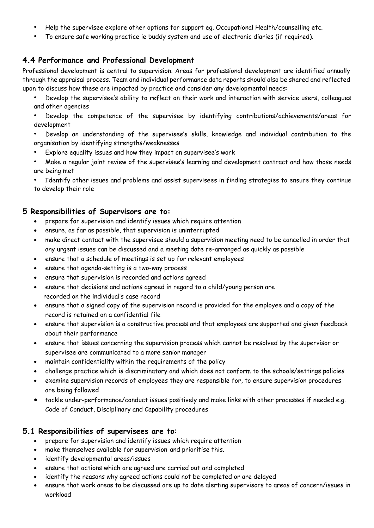- Help the supervisee explore other options for support eg. Occupational Health/counselling etc.
- To ensure safe working practice ie buddy system and use of electronic diaries (if required).

# **4.4 Performance and Professional Development**

Professional development is central to supervision. Areas for professional development are identified annually through the appraisal process. Team and individual performance data reports should also be shared and reflected upon to discuss how these are impacted by practice and consider any developmental needs:

- Develop the supervisee's ability to reflect on their work and interaction with service users, colleagues and other agencies
- Develop the competence of the supervisee by identifying contributions/achievements/areas for development
- Develop an understanding of the supervisee's skills, knowledge and individual contribution to the organisation by identifying strengths/weaknesses
- Explore equality issues and how they impact on supervisee's work
- Make a regular joint review of the supervisee's learning and development contract and how those needs are being met

Identify other issues and problems and assist supervisees in finding strategies to ensure they continue to develop their role

#### **5 Responsibilities of Supervisors are to:**

- prepare for supervision and identify issues which require attention
- ensure, as far as possible, that supervision is uninterrupted
- make direct contact with the supervisee should a supervision meeting need to be cancelled in order that any urgent issues can be discussed and a meeting date re-arranged as quickly as possible
- ensure that a schedule of meetings is set up for relevant employees
- ensure that agenda-setting is a two-way process
- ensure that supervision is recorded and actions agreed
- ensure that decisions and actions agreed in regard to a child/young person are recorded on the individual's case record
- ensure that a signed copy of the supervision record is provided for the employee and a copy of the record is retained on a confidential file
- ensure that supervision is a constructive process and that employees are supported and given feedback about their performance
- ensure that issues concerning the supervision process which cannot be resolved by the supervisor or supervisee are communicated to a more senior manager
- maintain confidentiality within the requirements of the policy
- challenge practice which is discriminatory and which does not conform to the schools/settings policies
- examine supervision records of employees they are responsible for, to ensure supervision procedures are being followed
- tackle under-performance/conduct issues positively and make links with other processes if needed e.g. Code of Conduct, Disciplinary and Capability procedures

#### **5.1 Responsibilities of supervisees are to**:

- prepare for supervision and identify issues which require attention
- make themselves available for supervision and prioritise this.
- identify developmental areas/issues
- ensure that actions which are agreed are carried out and completed
- identify the reasons why agreed actions could not be completed or are delayed
- ensure that work areas to be discussed are up to date alerting supervisors to areas of concern/issues in workload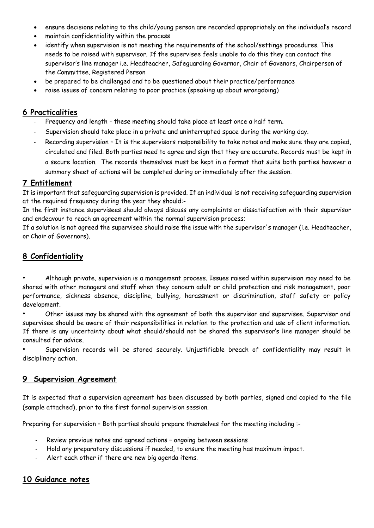- ensure decisions relating to the child/young person are recorded appropriately on the individual's record
- maintain confidentiality within the process
- identify when supervision is not meeting the requirements of the school/settings procedures. This needs to be raised with supervisor. If the supervisee feels unable to do this they can contact the supervisor's line manager i.e. Headteacher, Safeguarding Governor, Chair of Govenors, Chairperson of the Committee, Registered Person
- be prepared to be challenged and to be questioned about their practice/performance
- raise issues of concern relating to poor practice (speaking up about wrongdoing)

### **6 Practicalities**

- Frequency and length these meeting should take place at least once a half term.
- Supervision should take place in a private and uninterrupted space during the working day.
- Recording supervision It is the supervisors responsibility to take notes and make sure they are copied, circulated and filed. Both parties need to agree and sign that they are accurate. Records must be kept in a secure location. The records themselves must be kept in a format that suits both parties however a summary sheet of actions will be completed during or immediately after the session.

# **7 Entitlement**

It is important that safeguarding supervision is provided. If an individual is not receiving safeguarding supervision at the required frequency during the year they should:-

In the first instance supervisees should always discuss any complaints or dissatisfaction with their supervisor and endeavour to reach an agreement within the normal supervision process;

If a solution is not agreed the supervisee should raise the issue with the supervisor's manager (i.e. Headteacher, or Chair of Governors).

# **8 Confidentiality**

• Although private, supervision is a management process. Issues raised within supervision may need to be shared with other managers and staff when they concern adult or child protection and risk management, poor performance, sickness absence, discipline, bullying, harassment or discrimination, staff safety or policy development.

• Other issues may be shared with the agreement of both the supervisor and supervisee. Supervisor and supervisee should be aware of their responsibilities in relation to the protection and use of client information. If there is any uncertainty about what should/should not be shared the supervisor's line manager should be consulted for advice.

• Supervision records will be stored securely. Unjustifiable breach of confidentiality may result in disciplinary action.

# **9 Supervision Agreement**

It is expected that a supervision agreement has been discussed by both parties, signed and copied to the file (sample attached), prior to the first formal supervision session.

Preparing for supervision - Both parties should prepare themselves for the meeting including :-

- Review previous notes and agreed actions ongoing between sessions
- Hold any preparatory discussions if needed, to ensure the meeting has maximum impact.
- Alert each other if there are new big agenda items.

#### **10 Guidance notes**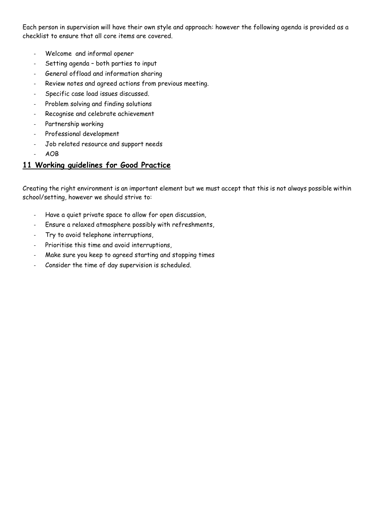Each person in supervision will have their own style and approach: however the following agenda is provided as a checklist to ensure that all core items are covered.

- Welcome and informal opener
- Setting agenda both parties to input
- General offload and information sharing
- Review notes and agreed actions from previous meeting.
- Specific case load issues discussed.
- Problem solving and finding solutions
- Recognise and celebrate achievement
- Partnership working
- Professional development
- Job related resource and support needs
- AOB

# **11 Working guidelines for Good Practice**

Creating the right environment is an important element but we must accept that this is not always possible within school/setting, however we should strive to:

- Have a quiet private space to allow for open discussion,
- Ensure a relaxed atmosphere possibly with refreshments,
- Try to avoid telephone interruptions,
- Prioritise this time and avoid interruptions,
- Make sure you keep to agreed starting and stopping times
- Consider the time of day supervision is scheduled.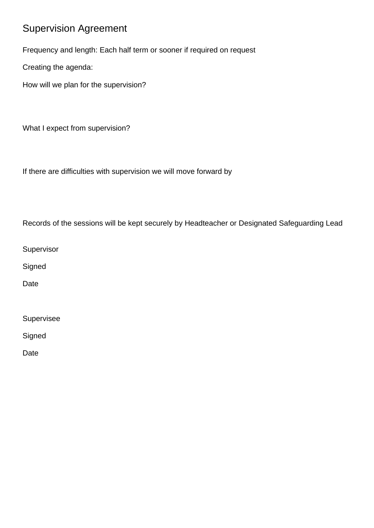# Supervision Agreement

Frequency and length: Each half term or sooner if required on request

Creating the agenda:

How will we plan for the supervision?

What I expect from supervision?

If there are difficulties with supervision we will move forward by

Records of the sessions will be kept securely by Headteacher or Designated Safeguarding Lead

Supervisor

**Signed** 

Date

Supervisee

**Signed** 

Date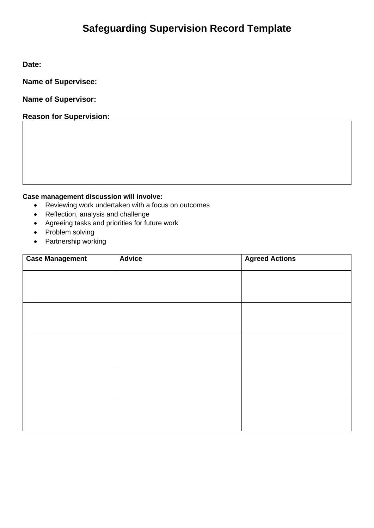# **Safeguarding Supervision Record Template**

**Date:**

**Name of Supervisee:**

**Name of Supervisor:**

**Reason for Supervision:**

**Case management discussion will involve:**

- Reviewing work undertaken with a focus on outcomes
- Reflection, analysis and challenge
- Agreeing tasks and priorities for future work
- Problem solving
- Partnership working

| <b>Case Management</b> | <b>Advice</b> | <b>Agreed Actions</b> |
|------------------------|---------------|-----------------------|
|                        |               |                       |
|                        |               |                       |
|                        |               |                       |
|                        |               |                       |
|                        |               |                       |
|                        |               |                       |
|                        |               |                       |
|                        |               |                       |
|                        |               |                       |
|                        |               |                       |